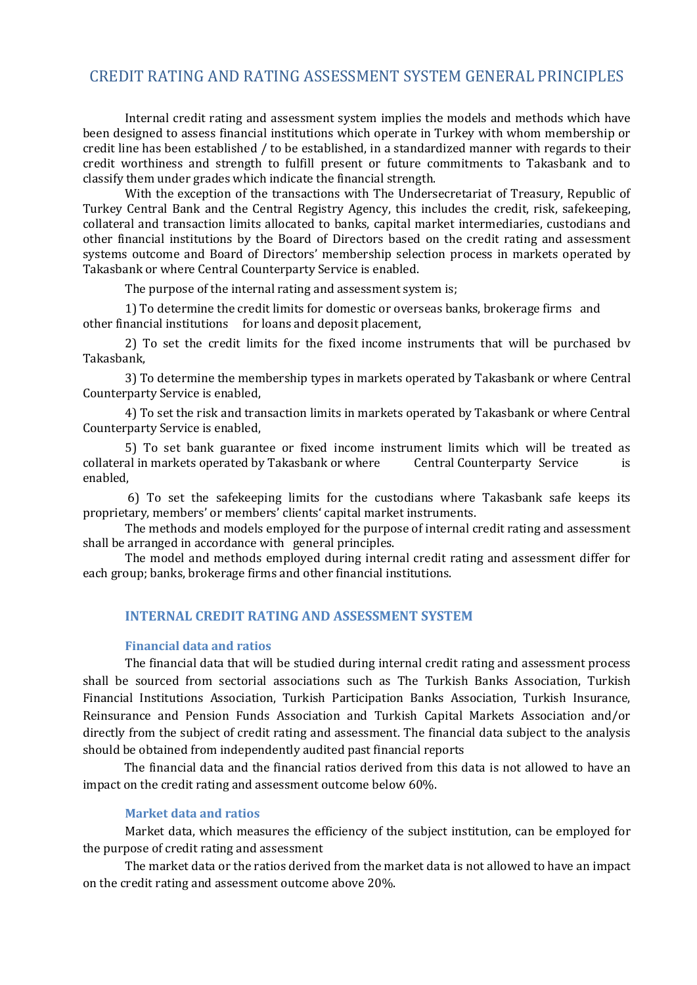# CREDIT RATING AND RATING ASSESSMENT SYSTEM GENERAL PRINCIPLES

Internal credit rating and assessment system implies the models and methods which have been designed to assess financial institutions which operate in Turkey with whom membership or credit line has been established / to be established, in a standardized manner with regards to their credit worthiness and strength to fulfill present or future commitments to Takasbank and to classify them under grades which indicate the financial strength.

With the exception of the transactions with The Undersecretariat of Treasury, Republic of Turkey Central Bank and the Central Registry Agency, this includes the credit, risk, safekeeping, collateral and transaction limits allocated to banks, capital market intermediaries, custodians and other financial institutions by the Board of Directors based on the credit rating and assessment systems outcome and Board of Directors' membership selection process in markets operated by Takasbank or where Central Counterparty Service is enabled.

The purpose of the internal rating and assessment system is;

1) To determine the credit limits for domestic or overseas banks, brokerage firms and other financial institutions for loans and deposit placement,

2) To set the credit limits for the fixed income instruments that will be purchased bv Takasbank,

3) To determine the membership types in markets operated by Takasbank or where Central Counterparty Service is enabled,

4) To set the risk and transaction limits in markets operated by Takasbank or where Central Counterparty Service is enabled,

5) To set bank guarantee or fixed income instrument limits which will be treated as collateral in markets operated by Takasbank or where Central Counterparty Service is enabled,

6) To set the safekeeping limits for the custodians where Takasbank safe keeps its proprietary, members' or members' clients' capital market instruments.

The methods and models employed for the purpose of internal credit rating and assessment shall be arranged in accordance with general principles.

The model and methods employed during internal credit rating and assessment differ for each group; banks, brokerage firms and other financial institutions.

# **INTERNAL CREDIT RATING AND ASSESSMENT SYSTEM**

### **Financial data and ratios**

The financial data that will be studied during internal credit rating and assessment process shall be sourced from sectorial associations such as The Turkish Banks Association, Turkish Financial Institutions Association, Turkish Participation Banks Association, Turkish Insurance, Reinsurance and Pension Funds Association and Turkish Capital Markets Association and/or directly from the subject of credit rating and assessment. The financial data subject to the analysis should be obtained from independently audited past financial reports

The financial data and the financial ratios derived from this data is not allowed to have an impact on the credit rating and assessment outcome below 60%.

### **Market data and ratios**

Market data, which measures the efficiency of the subject institution, can be employed for the purpose of credit rating and assessment

The market data or the ratios derived from the market data is not allowed to have an impact on the credit rating and assessment outcome above 20%.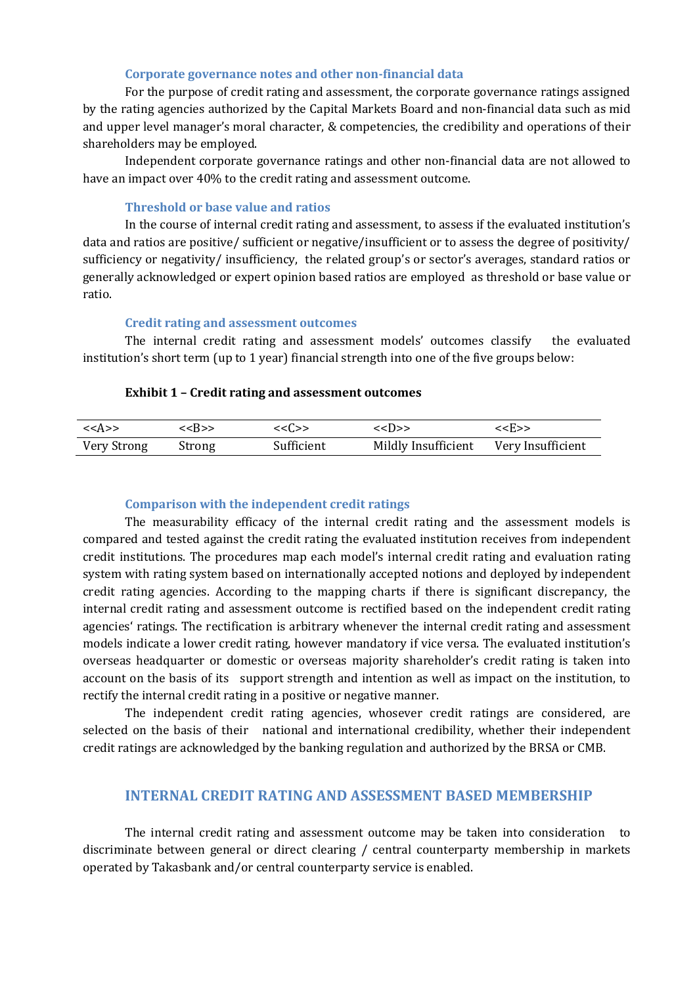### **Corporate governance notes and other non-financial data**

For the purpose of credit rating and assessment, the corporate governance ratings assigned by the rating agencies authorized by the Capital Markets Board and non-financial data such as mid and upper level manager's moral character, & competencies, the credibility and operations of their shareholders may be employed.

Independent corporate governance ratings and other non-financial data are not allowed to have an impact over 40% to the credit rating and assessment outcome.

#### **Threshold or base value and ratios**

In the course of internal credit rating and assessment, to assess if the evaluated institution's data and ratios are positive/ sufficient or negative/insufficient or to assess the degree of positivity/ sufficiency or negativity/ insufficiency, the related group's or sector's averages, standard ratios or generally acknowledged or expert opinion based ratios are employed as threshold or base value or ratio.

#### **Credit rating and assessment outcomes**

The internal credit rating and assessment models' outcomes classify the evaluated institution's short term (up to 1 year) financial strength into one of the five groups below:

#### **Exhibit 1 – Credit rating and assessment outcomes**

| < <a>&gt;</a> | < <r>&gt;</r> | <<(.>>     | $\langle \langle   \rangle \rangle$   | < <h>&gt;</h> |
|---------------|---------------|------------|---------------------------------------|---------------|
| Very Strong   | Strong        | Sufficient | Mildly Insufficient Very Insufficient |               |

#### **Comparison with the independent credit ratings**

The measurability efficacy of the internal credit rating and the assessment models is compared and tested against the credit rating the evaluated institution receives from independent credit institutions. The procedures map each model's internal credit rating and evaluation rating system with rating system based on internationally accepted notions and deployed by independent credit rating agencies. According to the mapping charts if there is significant discrepancy, the internal credit rating and assessment outcome is rectified based on the independent credit rating agencies' ratings. The rectification is arbitrary whenever the internal credit rating and assessment models indicate a lower credit rating, however mandatory if vice versa. The evaluated institution's overseas headquarter or domestic or overseas majority shareholder's credit rating is taken into account on the basis of its support strength and intention as well as impact on the institution, to rectify the internal credit rating in a positive or negative manner.

The independent credit rating agencies, whosever credit ratings are considered, are selected on the basis of their national and international credibility, whether their independent credit ratings are acknowledged by the banking regulation and authorized by the BRSA or CMB.

## **INTERNAL CREDIT RATING AND ASSESSMENT BASED MEMBERSHIP**

The internal credit rating and assessment outcome may be taken into consideration to discriminate between general or direct clearing / central counterparty membership in markets operated by Takasbank and/or central counterparty service is enabled.